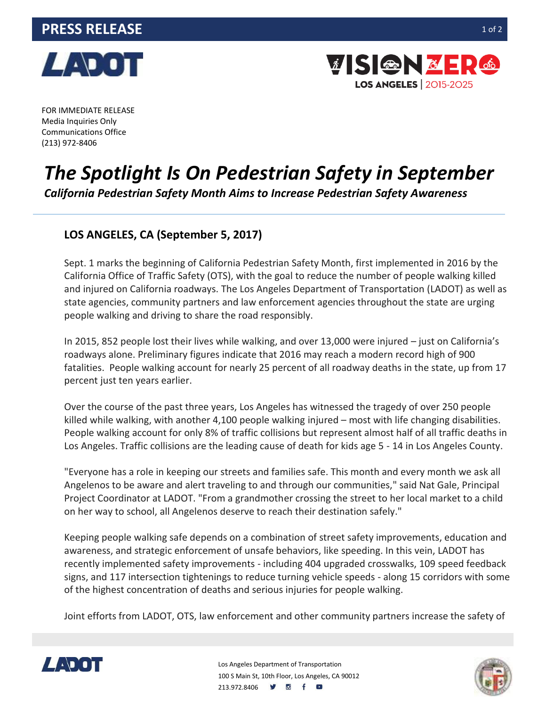



FOR IMMEDIATE RELEASE Media Inquiries Only Communications Office (213) 972-8406

## *The Spotlight Is On Pedestrian Safety in September*

*California Pedestrian Safety Month Aims to Increase Pedestrian Safety Awareness*

## **LOS ANGELES, CA (September 5, 2017)**

Sept. 1 marks the beginning of California Pedestrian Safety Month, first implemented in 2016 by the California Office of Traffic Safety (OTS), with the goal to reduce the number of people walking killed and injured on California roadways. The Los Angeles Department of Transportation (LADOT) as well as state agencies, community partners and law enforcement agencies throughout the state are urging people walking and driving to share the road responsibly.

In 2015, 852 people lost their lives while walking, and over 13,000 were injured – just on California's roadways alone. Preliminary figures indicate that 2016 may reach a modern record high of 900 fatalities. People walking account for nearly 25 percent of all roadway deaths in the state, up from 17 percent just ten years earlier.

Over the course of the past three years, Los Angeles has witnessed the tragedy of over 250 people killed while walking, with another 4,100 people walking injured – most with life changing disabilities. People walking account for only 8% of traffic collisions but represent almost half of all traffic deaths in Los Angeles. Traffic collisions are the leading cause of death for kids age 5 - 14 in Los Angeles County.

"Everyone has a role in keeping our streets and families safe. This month and every month we ask all Angelenos to be aware and alert traveling to and through our communities," said Nat Gale, Principal Project Coordinator at LADOT. "From a grandmother crossing the street to her local market to a child on her way to school, all Angelenos deserve to reach their destination safely."

Keeping people walking safe depends on a combination of street safety improvements, education and awareness, and strategic enforcement of unsafe behaviors, like speeding. In this vein, LADOT has recently implemented safety improvements - including 404 upgraded crosswalks, 109 speed feedback signs, and 117 intersection tightenings to reduce turning vehicle speeds - along 15 corridors with some of the highest concentration of deaths and serious injuries for people walking.

Joint efforts from LADOT, OTS, law enforcement and other community partners increase the safety of